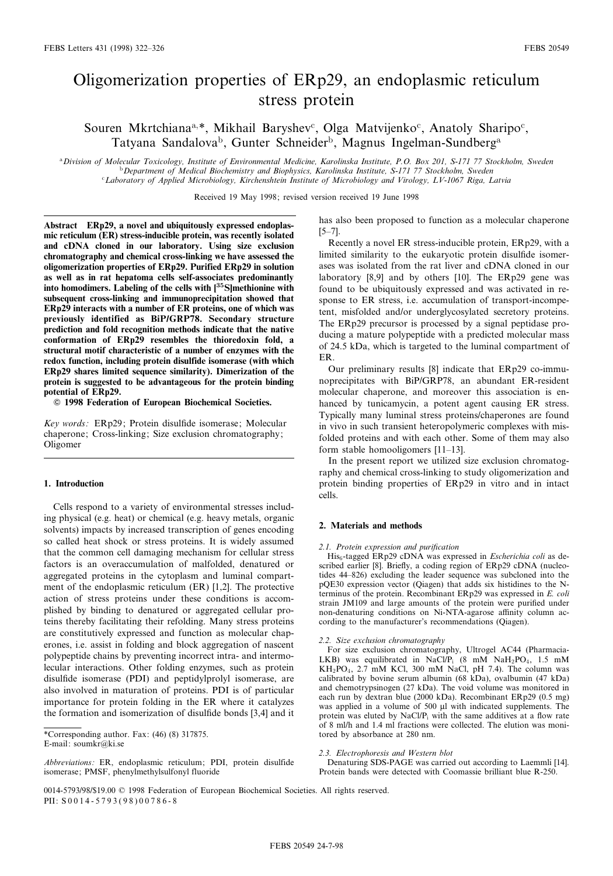# Oligomerization properties of ERp29, an endoplasmic reticulum stress protein

Souren Mkrtchiana<sup>a,\*</sup>, Mikhail Baryshev<sup>c</sup>, Olga Matvijenko<sup>c</sup>, Anatoly Sharipo<sup>c</sup>, Tatyana Sandalova<sup>b</sup>, Gunter Schneider<sup>b</sup>, Magnus Ingelman-Sundberg<sup>a</sup>

aDivision of Molecular Toxicology, Institute of Environmental Medicine, Karolinska Institute, P.O. Box 201, S-171 77 Stockholm, Sweden  $b$ Department of Medical Biochemistry and Biophysics, Karolinska Institute, S-171 77 Stockholm, Sweden <sup>c</sup>Laboratory of Applied Microbiology, Kirchenshtein Institute of Microbiology and Virology, LV-1067 Riga, Latvia

Received 19 May 1998; revised version received 19 June 1998

Abstract ERp29, a novel and ubiquitously expressed endoplasmic reticulum (ER) stress-inducible protein, was recently isolated and cDNA cloned in our laboratory. Using size exclusion chromatography and chemical cross-linking we have assessed the oligomerization properties of ERp29. Purified ERp29 in solution as well as in rat hepatoma cells self-associates predominantly into homodimers. Labeling of the cells with  $[35S]$ methionine with subsequent cross-linking and immunoprecipitation showed that ERp29 interacts with a number of ER proteins, one of which was previously identified as BiP/GRP78. Secondary structure prediction and fold recognition methods indicate that the native conformation of ERp29 resembles the thioredoxin fold, a structural motif characteristic of a number of enzymes with the redox function, including protein disulfide isomerase (with which ERp29 shares limited sequence similarity). Dimerization of the protein is suggested to be advantageous for the protein binding potential of ERp29.

 $© 1998 Federation of European Biochemical Societies.$ 

Key words: ERp29; Protein disulfide isomerase; Molecular chaperone; Cross-linking; Size exclusion chromatography; Oligomer

# 1. Introduction

Cells respond to a variety of environmental stresses including physical (e.g. heat) or chemical (e.g. heavy metals, organic solvents) impacts by increased transcription of genes encoding so called heat shock or stress proteins. It is widely assumed that the common cell damaging mechanism for cellular stress factors is an overaccumulation of malfolded, denatured or aggregated proteins in the cytoplasm and luminal compartment of the endoplasmic reticulum (ER) [1,2]. The protective action of stress proteins under these conditions is accomplished by binding to denatured or aggregated cellular proteins thereby facilitating their refolding. Many stress proteins are constitutively expressed and function as molecular chaperones, i.e. assist in folding and block aggregation of nascent polypeptide chains by preventing incorrect intra- and intermolecular interactions. Other folding enzymes, such as protein disulfide isomerase (PDI) and peptidylprolyl isomerase, are also involved in maturation of proteins. PDI is of particular importance for protein folding in the ER where it catalyzes the formation and isomerization of disulfide bonds [3,4] and it

\*Corresponding author. Fax: (46) (8) 317875. E-mail: soumkr@ki.se

Abbreviations: ER, endoplasmic reticulum; PDI, protein disulfide isomerase; PMSF, phenylmethylsulfonyl fluoride

has also been proposed to function as a molecular chaperone  $[5-7]$ .

Recently a novel ER stress-inducible protein, ERp29, with a limited similarity to the eukaryotic protein disulfide isomerases was isolated from the rat liver and cDNA cloned in our laboratory [8,9] and by others [10]. The ERp29 gene was found to be ubiquitously expressed and was activated in response to ER stress, i.e. accumulation of transport-incompetent, misfolded and/or underglycosylated secretory proteins. The ERp29 precursor is processed by a signal peptidase producing a mature polypeptide with a predicted molecular mass of 24.5 kDa, which is targeted to the luminal compartment of ER.

Our preliminary results [8] indicate that ERp29 co-immunoprecipitates with BiP/GRP78, an abundant ER-resident molecular chaperone, and moreover this association is enhanced by tunicamycin, a potent agent causing ER stress. Typically many luminal stress proteins/chaperones are found in vivo in such transient heteropolymeric complexes with misfolded proteins and with each other. Some of them may also form stable homooligomers  $[11-13]$ .

In the present report we utilized size exclusion chromatography and chemical cross-linking to study oligomerization and protein binding properties of ERp29 in vitro and in intact cells.

## 2. Materials and methods

#### 2.1. Protein expression and purification

His<sub>6</sub>-tagged ERp29 cDNA was expressed in *Escherichia coli* as described earlier [8]. Briefly, a coding region of ERp29 cDNA (nucleotides 44^826) excluding the leader sequence was subcloned into the pQE30 expression vector (Qiagen) that adds six histidines to the Nterminus of the protein. Recombinant ERp29 was expressed in E. coli strain JM109 and large amounts of the protein were purified under non-denaturing conditions on Ni-NTA-agarose affinity column according to the manufacturer's recommendations (Qiagen).

#### 2.2. Size exclusion chromatography

For size exclusion chromatography, Ultrogel AC44 (Pharmacia-LKB) was equilibrated in NaCl/P<sub>i</sub> (8 mM NaH<sub>2</sub>PO<sub>4</sub>, 1.5 mM  $KH_2PO_4$ , 2.7 mM KCl, 300 mM NaCl, pH 7.4). The column was calibrated by bovine serum albumin (68 kDa), ovalbumin (47 kDa) and chemotrypsinogen (27 kDa). The void volume was monitored in each run by dextran blue (2000 kDa). Recombinant ERp29 (0.5 mg) was applied in a volume of 500 µl with indicated supplements. The protein was eluted by  $NaCl/P<sub>i</sub>$  with the same additives at a flow rate of 8 ml/h and 1.4 ml fractions were collected. The elution was monitored by absorbance at 280 nm.

#### 2.3. Electrophoresis and Western blot

Denaturing SDS-PAGE was carried out according to Laemmli [14]. Protein bands were detected with Coomassie brilliant blue R-250.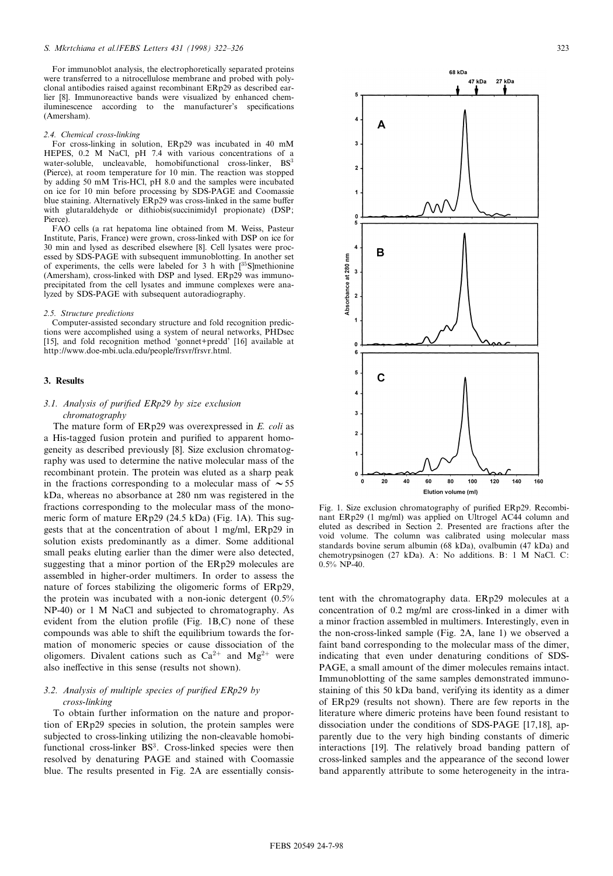For immunoblot analysis, the electrophoretically separated proteins were transferred to a nitrocellulose membrane and probed with polyclonal antibodies raised against recombinant ERp29 as described earlier [8]. Immunoreactive bands were visualized by enhanced chemiluminescence according to the manufacturer's specifications (Amersham).

#### 2.4. Chemical cross-linking

For cross-linking in solution, ERp29 was incubated in 40 mM HEPES, 0.2 M NaCl, pH 7.4 with various concentrations of a water-soluble, uncleavable, homobifunctional cross-linker, BS<sup>3</sup> (Pierce), at room temperature for 10 min. The reaction was stopped by adding 50 mM Tris-HCl, pH 8.0 and the samples were incubated on ice for 10 min before processing by SDS-PAGE and Coomassie blue staining. Alternatively ERp29 was cross-linked in the same buffer with glutaraldehyde or dithiobis(succinimidyl propionate) (DSP; Pierce).

FAO cells (a rat hepatoma line obtained from M. Weiss, Pasteur Institute, Paris, France) were grown, cross-linked with DSP on ice for 30 min and lysed as described elsewhere [8]. Cell lysates were processed by SDS-PAGE with subsequent immunoblotting. In another set of experiments, the cells were labeled for 3 h with  $\int^{35}$ S]methionine (Amersham), cross-linked with DSP and lysed. ERp29 was immunoprecipitated from the cell lysates and immune complexes were analyzed by SDS-PAGE with subsequent autoradiography.

## 2.5. Structure predictions

Computer-assisted secondary structure and fold recognition predictions were accomplished using a system of neural networks, PHDsec [15], and fold recognition method `gonnet+predd' [16] available at http://www.doe-mbi.ucla.edu/people/frsvr/frsvr.html.

## 3. Results

# 3.1. Analysis of purified ERp29 by size exclusion chromatography

The mature form of ERp29 was overexpressed in E. coli as a His-tagged fusion protein and purified to apparent homogeneity as described previously [8]. Size exclusion chromatography was used to determine the native molecular mass of the recombinant protein. The protein was eluted as a sharp peak in the fractions corresponding to a molecular mass of  $\sim$  55 kDa, whereas no absorbance at 280 nm was registered in the fractions corresponding to the molecular mass of the monomeric form of mature ERp29 (24.5 kDa) (Fig. 1A). This suggests that at the concentration of about 1 mg/ml, ERp29 in solution exists predominantly as a dimer. Some additional small peaks eluting earlier than the dimer were also detected, suggesting that a minor portion of the ERp29 molecules are assembled in higher-order multimers. In order to assess the nature of forces stabilizing the oligomeric forms of ERp29, the protein was incubated with a non-ionic detergent (0.5% NP-40) or 1 M NaCl and subjected to chromatography. As evident from the elution profile (Fig. 1B,C) none of these compounds was able to shift the equilibrium towards the formation of monomeric species or cause dissociation of the oligomers. Divalent cations such as  $Ca^{2+}$  and  $Mg^{2+}$  were also ineffective in this sense (results not shown).

# 3.2. Analysis of multiple species of purified  $ERp29$  by cross-linking

To obtain further information on the nature and proportion of ERp29 species in solution, the protein samples were subjected to cross-linking utilizing the non-cleavable homobifunctional cross-linker BS<sup>3</sup>. Cross-linked species were then resolved by denaturing PAGE and stained with Coomassie blue. The results presented in Fig. 2A are essentially consis-



Fig. 1. Size exclusion chromatography of purified ERp29. Recombinant ERp29 (1 mg/ml) was applied on Ultrogel AC44 column and eluted as described in Section 2. Presented are fractions after the void volume. The column was calibrated using molecular mass standards bovine serum albumin (68 kDa), ovalbumin (47 kDa) and chemotrypsinogen (27 kDa). A: No additions. B: 1 M NaCl. C: 0.5% NP-40.

tent with the chromatography data. ERp29 molecules at a concentration of 0.2 mg/ml are cross-linked in a dimer with a minor fraction assembled in multimers. Interestingly, even in the non-cross-linked sample (Fig. 2A, lane 1) we observed a faint band corresponding to the molecular mass of the dimer, indicating that even under denaturing conditions of SDS-PAGE, a small amount of the dimer molecules remains intact. Immunoblotting of the same samples demonstrated immunostaining of this 50 kDa band, verifying its identity as a dimer of ERp29 (results not shown). There are few reports in the literature where dimeric proteins have been found resistant to dissociation under the conditions of SDS-PAGE [17,18], apparently due to the very high binding constants of dimeric interactions [19]. The relatively broad banding pattern of cross-linked samples and the appearance of the second lower band apparently attribute to some heterogeneity in the intra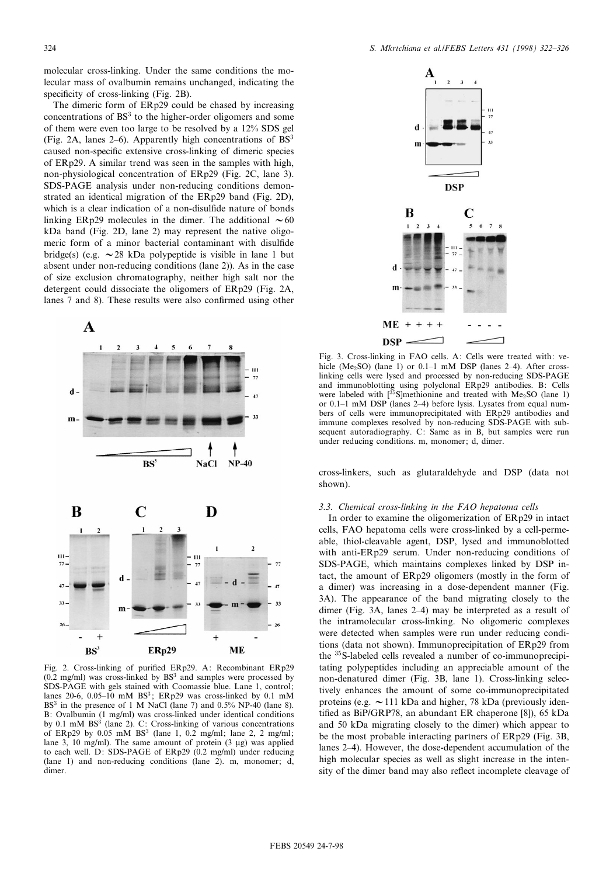molecular cross-linking. Under the same conditions the molecular mass of ovalbumin remains unchanged, indicating the specificity of cross-linking (Fig. 2B).

The dimeric form of ERp29 could be chased by increasing concentrations of  $BS<sup>3</sup>$  to the higher-order oligomers and some of them were even too large to be resolved by a 12% SDS gel (Fig. 2A, lanes 2–6). Apparently high concentrations of  $BS<sup>3</sup>$ caused non-specific extensive cross-linking of dimeric species of ERp29. A similar trend was seen in the samples with high, non-physiological concentration of ERp29 (Fig. 2C, lane 3). SDS-PAGE analysis under non-reducing conditions demonstrated an identical migration of the ERp29 band (Fig. 2D), which is a clear indication of a non-disulfide nature of bonds linking ERp29 molecules in the dimer. The additional  $\sim 60$ kDa band (Fig. 2D, lane 2) may represent the native oligomeric form of a minor bacterial contaminant with disulfide bridge(s) (e.g.  $\sim$  28 kDa polypeptide is visible in lane 1 but absent under non-reducing conditions (lane 2)). As in the case of size exclusion chromatography, neither high salt nor the detergent could dissociate the oligomers of ERp29 (Fig. 2A, lanes 7 and 8). These results were also confirmed using other



Fig. 2. Cross-linking of purified ERp29. A: Recombinant ERp29  $(0.2 \text{ mg/ml})$  was cross-linked by  $BS^3$  and samples were processed by SDS-PAGE with gels stained with Coomassie blue. Lane 1, control; lanes 20-6, 0.05-10 mM  $BS^3$ ; ERp29 was cross-linked by 0.1 mM BS<sup>3</sup> in the presence of 1 M NaCl (lane 7) and 0.5% NP-40 (lane 8). B: Ovalbumin (1 mg/ml) was cross-linked under identical conditions by 0.1 mM  $BS^3$  (lane 2). C: Cross-linking of various concentrations of  $ERp29$  by  $0.05$  mM  $BS<sup>3</sup>$  (lane 1, 0.2 mg/ml; lane 2, 2 mg/ml; lane 3, 10 mg/ml). The same amount of protein  $(3 \mu g)$  was applied to each well. D: SDS-PAGE of ERp29 (0.2 mg/ml) under reducing (lane 1) and non-reducing conditions (lane 2). m, monomer; d, dimer.



Fig. 3. Cross-linking in FAO cells. A: Cells were treated with: vehicle (Me<sub>2</sub>SO) (lane 1) or 0.1-1 mM DSP (lanes 2-4). After crosslinking cells were lysed and processed by non-reducing SDS-PAGE and immunoblotting using polyclonal ERp29 antibodies. B: Cells were labeled with  $[35S]$ methionine and treated with Me<sub>2</sub>SO (lane 1) or 0.1-1 mM DSP (lanes 2-4) before lysis. Lysates from equal numbers of cells were immunoprecipitated with ERp29 antibodies and immune complexes resolved by non-reducing SDS-PAGE with subsequent autoradiography. C: Same as in B, but samples were run under reducing conditions. m, monomer; d, dimer.

cross-linkers, such as glutaraldehyde and DSP (data not shown).

#### 3.3. Chemical cross-linking in the FAO hepatoma cells

In order to examine the oligomerization of ERp29 in intact cells, FAO hepatoma cells were cross-linked by a cell-permeable, thiol-cleavable agent, DSP, lysed and immunoblotted with anti-ERp29 serum. Under non-reducing conditions of SDS-PAGE, which maintains complexes linked by DSP intact, the amount of ERp29 oligomers (mostly in the form of a dimer) was increasing in a dose-dependent manner (Fig. 3A). The appearance of the band migrating closely to the dimer (Fig. 3A, lanes 2^4) may be interpreted as a result of the intramolecular cross-linking. No oligomeric complexes were detected when samples were run under reducing conditions (data not shown). Immunoprecipitation of ERp29 from the <sup>35</sup>S-labeled cells revealed a number of co-immunoprecipitating polypeptides including an appreciable amount of the non-denatured dimer (Fig. 3B, lane 1). Cross-linking selectively enhances the amount of some co-immunoprecipitated proteins (e.g.  $\sim$  111 kDa and higher, 78 kDa (previously identified as BiP/GRP78, an abundant ER chaperone [8]), 65 kDa and 50 kDa migrating closely to the dimer) which appear to be the most probable interacting partners of ERp29 (Fig. 3B, lanes 2-4). However, the dose-dependent accumulation of the high molecular species as well as slight increase in the intensity of the dimer band may also reflect incomplete cleavage of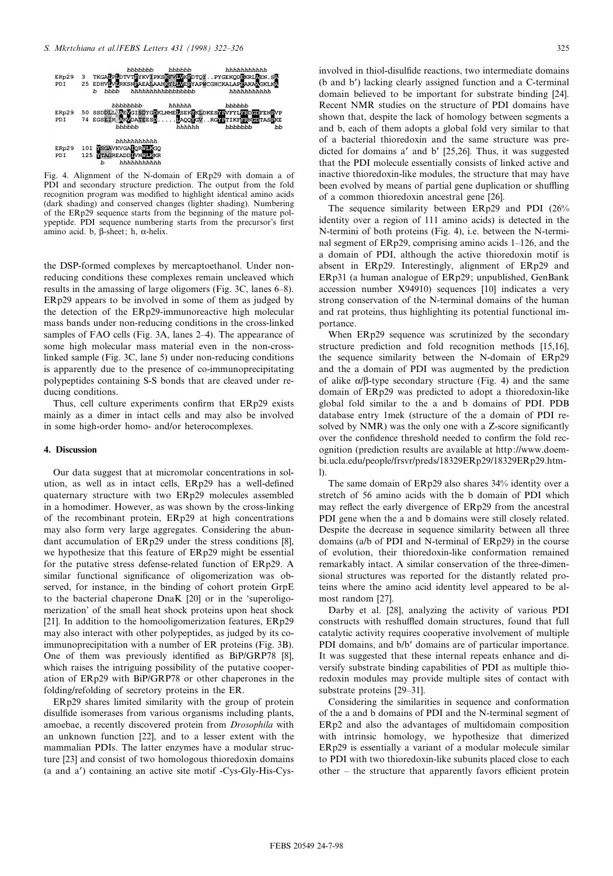

Fig. 4. Alignment of the N-domain of ERp29 with domain a of PDI and secondary structure prediction. The output from the fold recognition program was modified to highlight identical amino acids (dark shading) and conserved changes (lighter shading). Numbering of the ERp29 sequence starts from the beginning of the mature polypeptide. PDI sequence numbering starts from the precursor's first amino acid. b,  $\beta$ -sheet; h,  $\alpha$ -helix.

the DSP-formed complexes by mercaptoethanol. Under nonreducing conditions these complexes remain uncleaved which results in the amassing of large oligomers (Fig. 3C, lanes 6^8). ERp29 appears to be involved in some of them as judged by the detection of the ERp29-immunoreactive high molecular mass bands under non-reducing conditions in the cross-linked samples of FAO cells (Fig. 3A, lanes 2–4). The appearance of some high molecular mass material even in the non-crosslinked sample (Fig. 3C, lane 5) under non-reducing conditions is apparently due to the presence of co-immunoprecipitating polypeptides containing S-S bonds that are cleaved under reducing conditions.

Thus, cell culture experiments confirm that ERp29 exists mainly as a dimer in intact cells and may also be involved in some high-order homo- and/or heterocomplexes.

## 4. Discussion

 $ERn29$  $\overline{\mathbf{3}}$ 

 $h$   $hh$ 

PDI

Our data suggest that at micromolar concentrations in solution, as well as in intact cells, ERp29 has a well-defined quaternary structure with two ERp29 molecules assembled in a homodimer. However, as was shown by the cross-linking of the recombinant protein, ERp29 at high concentrations may also form very large aggregates. Considering the abundant accumulation of ERp29 under the stress conditions [8], we hypothesize that this feature of ERp29 might be essential for the putative stress defense-related function of ERp29. A similar functional significance of oligomerization was observed, for instance, in the binding of cohort protein GrpE to the bacterial chaperone DnaK [20] or in the `superoligomerization' of the small heat shock proteins upon heat shock [21]. In addition to the homooligomerization features, ERp29 may also interact with other polypeptides, as judged by its coimmunoprecipitation with a number of ER proteins (Fig. 3B). One of them was previously identified as BiP/GRP78 [8], which raises the intriguing possibility of the putative cooperation of ERp29 with BiP/GRP78 or other chaperones in the folding/refolding of secretory proteins in the ER.

ERp29 shares limited similarity with the group of protein disulfide isomerases from various organisms including plants, amoebae, a recently discovered protein from Drosophila with an unknown function [22], and to a lesser extent with the mammalian PDIs. The latter enzymes have a modular structure [23] and consist of two homologous thioredoxin domains (a and aP) containing an active site motif -Cys-Gly-His-Cysinvolved in thiol-disulfide reactions, two intermediate domains (b and b') lacking clearly assigned function and a C-terminal domain believed to be important for substrate binding [24]. Recent NMR studies on the structure of PDI domains have shown that, despite the lack of homology between segments a and b, each of them adopts a global fold very similar to that of a bacterial thioredoxin and the same structure was predicted for domains a' and b'  $[25,26]$ . Thus, it was suggested that the PDI molecule essentially consists of linked active and inactive thioredoxin-like modules, the structure that may have been evolved by means of partial gene duplication or shuffling of a common thioredoxin ancestral gene [26].

The sequence similarity between ERp29 and PDI (26% identity over a region of 111 amino acids) is detected in the N-termini of both proteins (Fig. 4), i.e. between the N-terminal segment of ERp29, comprising amino acids 1–126, and the a domain of PDI, although the active thioredoxin motif is absent in ERp29. Interestingly, alignment of ERp29 and ERp31 (a human analogue of ERp29; unpublished, GenBank accession number X94910) sequences [10] indicates a very strong conservation of the N-terminal domains of the human and rat proteins, thus highlighting its potential functional importance.

When ERp29 sequence was scrutinized by the secondary structure prediction and fold recognition methods [15,16], the sequence similarity between the N-domain of ERp29 and the a domain of PDI was augmented by the prediction of alike  $\alpha/\beta$ -type secondary structure (Fig. 4) and the same domain of ERp29 was predicted to adopt a thioredoxin-like global fold similar to the a and b domains of PDI. PDB database entry 1mek (structure of the a domain of PDI resolved by NMR) was the only one with a Z-score significantly over the confidence threshold needed to confirm the fold recognition (prediction results are available at http://www.doembi.ucla.edu/people/frsvr/preds/18329ERp29/18329ERp29.html).

The same domain of ERp29 also shares 34% identity over a stretch of 56 amino acids with the b domain of PDI which may reflect the early divergence of ERp29 from the ancestral PDI gene when the a and b domains were still closely related. Despite the decrease in sequence similarity between all three domains (a/b of PDI and N-terminal of ERp29) in the course of evolution, their thioredoxin-like conformation remained remarkably intact. A similar conservation of the three-dimensional structures was reported for the distantly related proteins where the amino acid identity level appeared to be almost random [27].

Darby et al. [28], analyzing the activity of various PDI constructs with reshuffled domain structures, found that full catalytic activity requires cooperative involvement of multiple PDI domains, and  $b/b'$  domains are of particular importance. It was suggested that these internal repeats enhance and diversify substrate binding capabilities of PDI as multiple thioredoxin modules may provide multiple sites of contact with substrate proteins [29–31].

Considering the similarities in sequence and conformation of the a and b domains of PDI and the N-terminal segment of ERp2 and also the advantages of multidomain composition with intrinsic homology, we hypothesize that dimerized ERp29 is essentially a variant of a modular molecule similar to PDI with two thioredoxin-like subunits placed close to each  $other - the structure that apparently favors efficient protein$